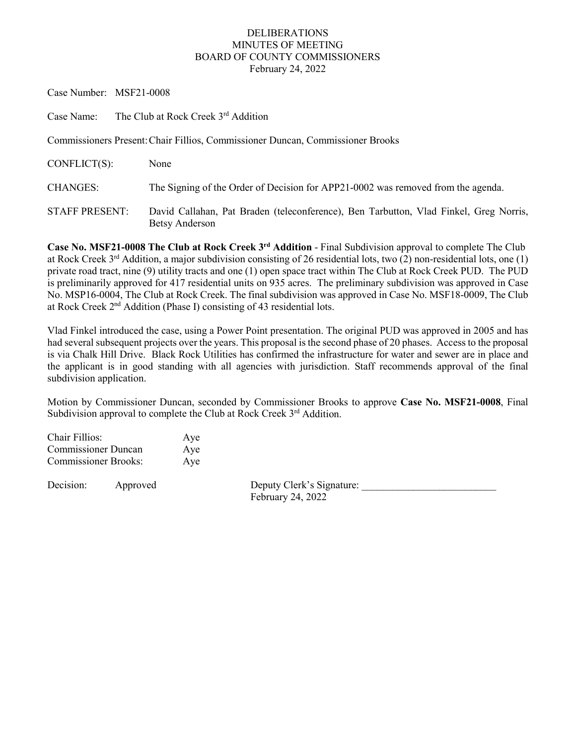## DELIBERATIONS MINUTES OF MEETING BOARD OF COUNTY COMMISSIONERS February 24, 2022

Case Number: MSF21-0008

Case Name: The Club at Rock Creek 3rd Addition

Commissioners Present:Chair Fillios, Commissioner Duncan, Commissioner Brooks

| CONFLICT(S):   | None                                                                                                           |
|----------------|----------------------------------------------------------------------------------------------------------------|
| CHANGES:       | The Signing of the Order of Decision for APP21-0002 was removed from the agenda.                               |
| STAFF PRESENT: | David Callahan, Pat Braden (teleconference), Ben Tarbutton, Vlad Finkel, Greg Norris,<br><b>Betsy Anderson</b> |

**Case No. MSF21-0008 The Club at Rock Creek 3rd Addition** - Final Subdivision approval to complete The Club at Rock Creek 3rd Addition, a major subdivision consisting of 26 residential lots, two (2) non-residential lots, one (1) private road tract, nine (9) utility tracts and one (1) open space tract within The Club at Rock Creek PUD. The PUD is preliminarily approved for 417 residential units on 935 acres. The preliminary subdivision was approved in Case No. MSP16-0004, The Club at Rock Creek. The final subdivision was approved in Case No. MSF18-0009, The Club at Rock Creek 2nd Addition (Phase I) consisting of 43 residential lots.

Vlad Finkel introduced the case, using a Power Point presentation. The original PUD was approved in 2005 and has had several subsequent projects over the years. This proposal is the second phase of 20 phases. Access to the proposal is via Chalk Hill Drive. Black Rock Utilities has confirmed the infrastructure for water and sewer are in place and the applicant is in good standing with all agencies with jurisdiction. Staff recommends approval of the final subdivision application.

Motion by Commissioner Duncan, seconded by Commissioner Brooks to approve **Case No. MSF21-0008**, Final Subdivision approval to complete the Club at Rock Creek  $3<sup>rd</sup>$  Addition.

| Chair Fillios:              | Aye |
|-----------------------------|-----|
| <b>Commissioner Duncan</b>  | Aye |
| <b>Commissioner Brooks:</b> | Aye |

Decision: Approved Deputy Clerk's Signature: February 24, 2022